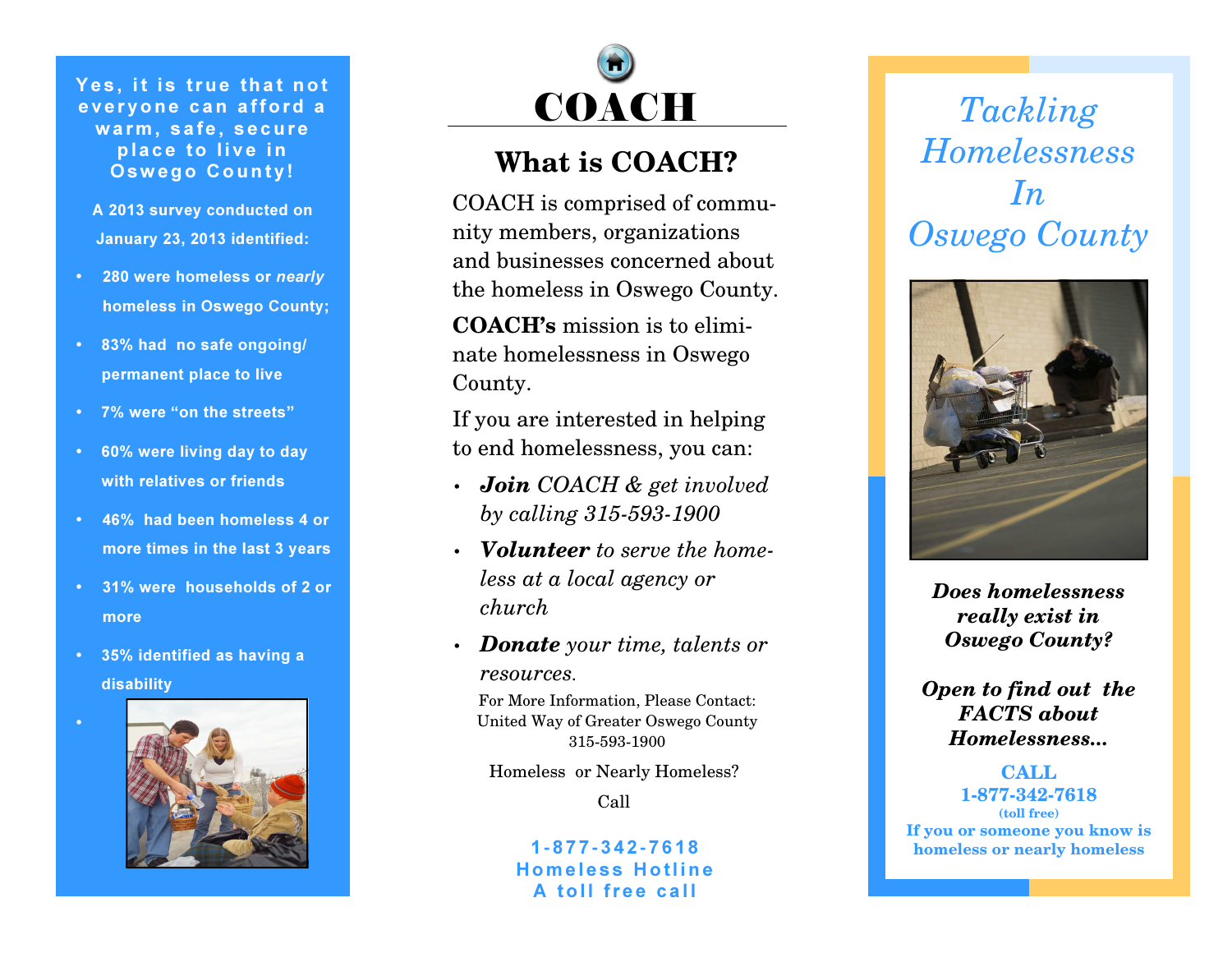Yes, it is true that not everyone can afford a warm, safe, secure place to live in Oswego County!

A 2013 survey conducted on January 23, 2013 identified:

- **280 were homeless or nearly** homeless in Oswego County;
- 83% had no safe ongoing/permanent place to live
- 7% were "on the streets"
- 60% were living day to day with relatives or friends
- 46% had been homeless 4 or more times in the last 3 years
- 31% were households of 2 or more
- 35% identified as having a disability

•





## **What is COACH?**

COACH is comprised of community members, organizations and businesses concerned about the homeless in Oswego County.

**COACH's** mission is to eliminate homelessness in Oswego County.

If you are interested in helping to end homelessness, you can:

- *Join COACH & get involved by calling 315-593-1900*
- *Volunteer to serve the homeless at a local agency or church*
- *Donate your time, talents or resources.*

For More Information, Please Contact: United Way of Greater Oswego County 315-593-1900

Homeless or Nearly Homeless?

Call

1**-** <sup>877</sup> **-**<sup>342</sup> **-** <sup>7618</sup> Homeless Hotline A toll free call

*Tackling Homelessness In Oswego County* 



*Does homelessness really exist in Oswego County?* 

*Open to find out the FACTS about Homelessness...* 

## **CALL 1-877-342-7618 (toll free) If you or someone you know is homeless or nearly homeless**